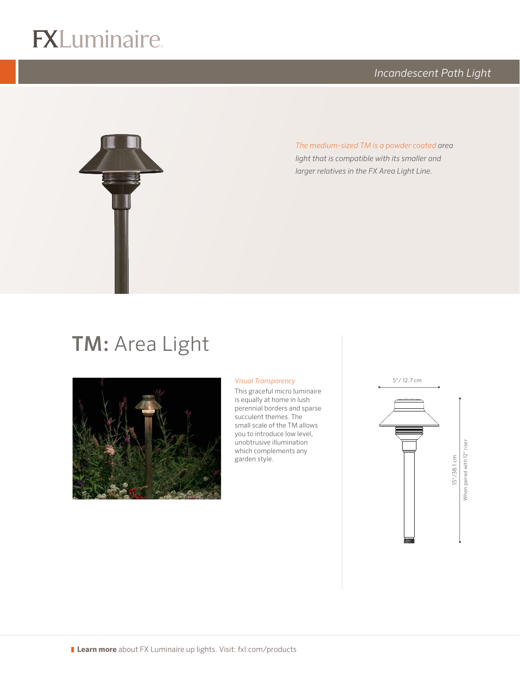## $R$

*Incandescent Path Light*



*The medium-sized TM is a powder coated area light that is compatible with its smaller and larger relatives in the FX Area Light Line.*

## TM: Area Light



#### *Visual Transparency*

logo (4-color CMYK)

This graceful micro luminaire is equally at home in lush perennial borders and sparse succulent themes. The small scale of the TM allows you to introduce low level, unobtrusive illumination which complements any garden style.